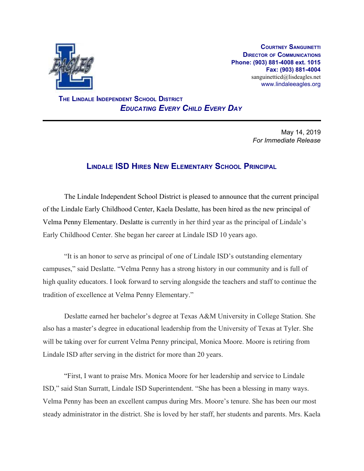

**COURTNEY SANGUINETTI DIRECTOR OF COMMUNICATIONS Phone: (903) 881-4008 ext. 1015 Fax: (903) 881-4004** sanguinetticd@lisdeagles.net www.lindaleeagles.org

 **THE LINDALE INDEPENDENT SCHOOL DISTRICT** *EDUCATING EVERY CHILD EVERY DAY*

> May 14, 2019 *For Immediate Release*

## **LINDALE ISD HIRES NEW ELEMENTARY SCHOOL PRINCIPAL**

The Lindale Independent School District is pleased to announce that the current principal of the Lindale Early Childhood Center, Kaela Deslatte, has been hired as the new principal of Velma Penny Elementary. Deslatte is currently in her third year as the principal of Lindale's Early Childhood Center. She began her career at Lindale ISD 10 years ago.

"It is an honor to serve as principal of one of Lindale ISD's outstanding elementary campuses," said Deslatte. "Velma Penny has a strong history in our community and is full of high quality educators. I look forward to serving alongside the teachers and staff to continue the tradition of excellence at Velma Penny Elementary."

Deslatte earned her bachelor's degree at Texas A&M University in College Station. She also has a master's degree in educational leadership from the University of Texas at Tyler. She will be taking over for current Velma Penny principal, Monica Moore. Moore is retiring from Lindale ISD after serving in the district for more than 20 years.

"First, I want to praise Mrs. Monica Moore for her leadership and service to Lindale ISD," said Stan Surratt, Lindale ISD Superintendent. "She has been a blessing in many ways. Velma Penny has been an excellent campus during Mrs. Moore's tenure. She has been our most steady administrator in the district. She is loved by her staff, her students and parents. Mrs. Kaela